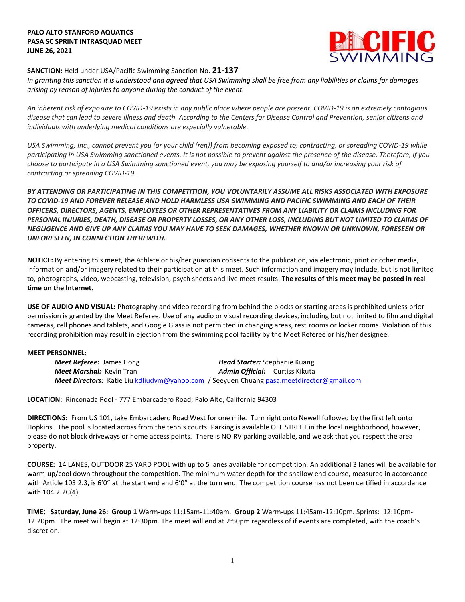# **PALO ALTO STANFORD AQUATICS PASA SC SPRINT INTRASQUAD MEET JUNE 26, 2021**



# **SANCTION:** Held under USA/Pacific Swimming Sanction No. **21-137**

*In granting this sanction it is understood and agreed that USA Swimming shall be free from any liabilities or claims for damages arising by reason of injuries to anyone during the conduct of the event.* 

*An inherent risk of exposure to COVID-19 exists in any public place where people are present. COVID-19 is an extremely contagious disease that can lead to severe illness and death. According to the Centers for Disease Control and Prevention, senior citizens and individuals with underlying medical conditions are especially vulnerable.*

*USA Swimming, Inc., cannot prevent you (or your child (ren)) from becoming exposed to, contracting, or spreading COVID-19 while participating in USA Swimming sanctioned events. It is not possible to prevent against the presence of the disease. Therefore, if you choose to participate in a USA Swimming sanctioned event, you may be exposing yourself to and/or increasing your risk of contracting or spreading COVID-19.*

*BY ATTENDING OR PARTICIPATING IN THIS COMPETITION, YOU VOLUNTARILY ASSUME ALL RISKS ASSOCIATED WITH EXPOSURE TO COVID-19 AND FOREVER RELEASE AND HOLD HARMLESS USA SWIMMING AND PACIFIC SWIMMING AND EACH OF THEIR OFFICERS, DIRECTORS, AGENTS, EMPLOYEES OR OTHER REPRESENTATIVES FROM ANY LIABILITY OR CLAIMS INCLUDING FOR PERSONAL INJURIES, DEATH, DISEASE OR PROPERTY LOSSES, OR ANY OTHER LOSS, INCLUDING BUT NOT LIMITED TO CLAIMS OF NEGLIGENCE AND GIVE UP ANY CLAIMS YOU MAY HAVE TO SEEK DAMAGES, WHETHER KNOWN OR UNKNOWN, FORESEEN OR UNFORESEEN, IN CONNECTION THEREWITH.*

**NOTICE:** By entering this meet, the Athlete or his/her guardian consents to the publication, via electronic, print or other media, information and/or imagery related to their participation at this meet. Such information and imagery may include, but is not limited to, photographs, video, webcasting, television, psych sheets and live meet results. **The results of this meet may be posted in real time on the Internet.**

**USE OF AUDIO AND VISUAL:** Photography and video recording from behind the blocks or starting areas is prohibited unless prior permission is granted by the Meet Referee. Use of any audio or visual recording devices, including but not limited to film and digital cameras, cell phones and tablets, and Google Glass is not permitted in changing areas, rest rooms or locker rooms. Violation of this recording prohibition may result in ejection from the swimming pool facility by the Meet Referee or his/her designee.

#### **MEET PERSONNEL:**

*Meet Referee:* James Hong *Head Starter:* Stephanie Kuang *Meet Marshal:* Kevin Tran *Admin Official:* Curtiss Kikuta *Meet Directors:* Katie Liu [kdliudvm@yahoo.com](mailto:kdliudvm@yahoo.com) / Seeyuen Chuang [pasa.meetdirector@gmail.com](mailto:pasa.meetdirector@gmail.com)

**LOCATION:** Rinconada Pool - 777 Embarcadero Road; Palo Alto, California 94303

**DIRECTIONS:** From US 101, take Embarcadero Road West for one mile. Turn right onto Newell followed by the first left onto Hopkins. The pool is located across from the tennis courts. Parking is available OFF STREET in the local neighborhood, however, please do not block driveways or home access points. There is NO RV parking available, and we ask that you respect the area property.

**COURSE:** 14 LANES, OUTDOOR 25 YARD POOL with up to 5 lanes available for competition. An additional 3 lanes will be available for warm-up/cool down throughout the competition. The minimum water depth for the shallow end course, measured in accordance with Article 103.2.3, is 6'0" at the start end and 6'0" at the turn end. The competition course has not been certified in accordance with 104.2.2C(4).

**TIME**: **Saturday**, **June 26: Group 1** Warm-ups 11:15am-11:40am. **Group 2** Warm-ups 11:45am-12:10pm. Sprints: 12:10pm-12:20pm. The meet will begin at 12:30pm. The meet will end at 2:50pm regardless of if events are completed, with the coach's discretion.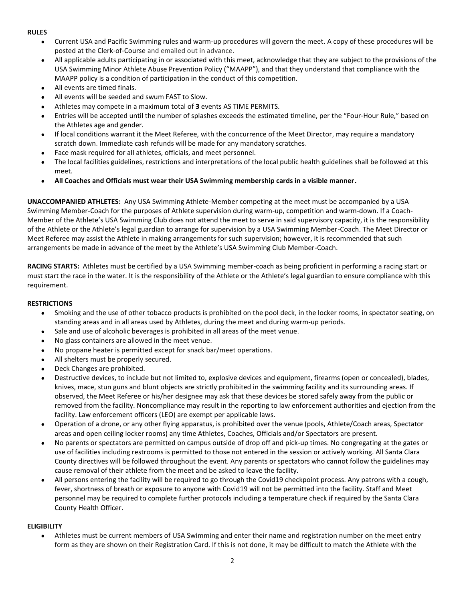# **RULES**

- Current USA and Pacific Swimming rules and warm-up procedures will govern the meet. A copy of these procedures will be posted at the Clerk-of-Course and emailed out in advance.
- All applicable adults participating in or associated with this meet, acknowledge that they are subject to the provisions of the USA Swimming Minor Athlete Abuse Prevention Policy ("MAAPP"), and that they understand that compliance with the MAAPP policy is a condition of participation in the conduct of this competition.
- All events are timed finals.
- All events will be seeded and swum FAST to Slow.
- Athletes may compete in a maximum total of **3** events AS TIME PERMITS.
- Entries will be accepted until the number of splashes exceeds the estimated timeline, per the "Four-Hour Rule," based on the Athletes age and gender.
- If local conditions warrant it the Meet Referee, with the concurrence of the Meet Director, may require a mandatory scratch down. Immediate cash refunds will be made for any mandatory scratches.
- Face mask required for all athletes, officials, and meet personnel.
- The local facilities guidelines, restrictions and interpretations of the local public health guidelines shall be followed at this meet.
- **All Coaches and Officials must wear their USA Swimming membership cards in a visible manner.**

**UNACCOMPANIED ATHLETES:** Any USA Swimming Athlete-Member competing at the meet must be accompanied by a USA Swimming Member-Coach for the purposes of Athlete supervision during warm-up, competition and warm-down. If a Coach-Member of the Athlete's USA Swimming Club does not attend the meet to serve in said supervisory capacity, it is the responsibility of the Athlete or the Athlete's legal guardian to arrange for supervision by a USA Swimming Member-Coach. The Meet Director or Meet Referee may assist the Athlete in making arrangements for such supervision; however, it is recommended that such arrangements be made in advance of the meet by the Athlete's USA Swimming Club Member-Coach.

**RACING STARTS:** Athletes must be certified by a USA Swimming member-coach as being proficient in performing a racing start or must start the race in the water. It is the responsibility of the Athlete or the Athlete's legal guardian to ensure compliance with this requirement.

# **RESTRICTIONS**

- Smoking and the use of other tobacco products is prohibited on the pool deck, in the locker rooms, in spectator seating, on standing areas and in all areas used by Athletes, during the meet and during warm-up periods.
- Sale and use of alcoholic beverages is prohibited in all areas of the meet venue.
- No glass containers are allowed in the meet venue.
- No propane heater is permitted except for snack bar/meet operations.
- All shelters must be properly secured.
- Deck Changes are prohibited.
- Destructive devices, to include but not limited to, explosive devices and equipment, firearms (open or concealed), blades, knives, mace, stun guns and blunt objects are strictly prohibited in the swimming facility and its surrounding areas. If observed, the Meet Referee or his/her designee may ask that these devices be stored safely away from the public or removed from the facility. Noncompliance may result in the reporting to law enforcement authorities and ejection from the facility. Law enforcement officers (LEO) are exempt per applicable laws.
- Operation of a drone, or any other flying apparatus, is prohibited over the venue (pools, Athlete/Coach areas, Spectator areas and open ceiling locker rooms) any time Athletes, Coaches, Officials and/or Spectators are present.
- No parents or spectators are permitted on campus outside of drop off and pick-up times. No congregating at the gates or use of facilities including restrooms is permitted to those not entered in the session or actively working. All Santa Clara County directives will be followed throughout the event. Any parents or spectators who cannot follow the guidelines may cause removal of their athlete from the meet and be asked to leave the facility.
- All persons entering the facility will be required to go through the Covid19 checkpoint process. Any patrons with a cough, fever, shortness of breath or exposure to anyone with Covid19 will not be permitted into the facility. Staff and Meet personnel may be required to complete further protocols including a temperature check if required by the Santa Clara County Health Officer.

# **ELIGIBILITY**

● Athletes must be current members of USA Swimming and enter their name and registration number on the meet entry form as they are shown on their Registration Card. If this is not done, it may be difficult to match the Athlete with the